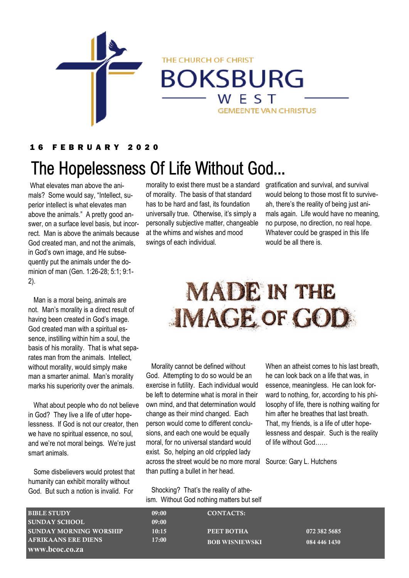

**BOKSBURG** 

WEST

**GEMEENTE VAN CHRISTUS** 

THE CHURCH OF CHRIST

1 6 F E B R U A R Y 2 0 2 0

# The Hopelessness Of Life Without God...

What elevates man above the animals? Some would say, "Intellect, superior intellect is what elevates man above the animals." A pretty good answer, on a surface level basis, but incorrect. Man is above the animals because God created man, and not the animals, in God's own image, and He subsequently put the animals under the dominion of man (Gen. 1:26-28; 5:1; 9:1- 2).

 Man is a moral being, animals are not. Man's morality is a direct result of having been created in God's image. God created man with a spiritual essence, instilling within him a soul, the basis of his morality. That is what separates man from the animals. Intellect, without morality, would simply make man a smarter animal. Man's morality marks his superiority over the animals.

 What about people who do not believe in God? They live a life of utter hopelessness. If God is not our creator, then we have no spiritual essence, no soul, and we're not moral beings. We're just smart animals.

 Some disbelievers would protest that humanity can exhibit morality without God. But such a notion is invalid. For

morality to exist there must be a standard of morality. The basis of that standard has to be hard and fast, its foundation universally true. Otherwise, it's simply a personally subjective matter, changeable at the whims and wishes and mood swings of each individual.

gratification and survival, and survival would belong to those most fit to surviveah, there's the reality of being just animals again. Life would have no meaning, no purpose, no direction, no real hope. Whatever could be grasped in this life would be all there is.

# **MADE IN THE IMAGE OF GOD**

 Morality cannot be defined without God. Attempting to do so would be an exercise in futility. Each individual would be left to determine what is moral in their own mind, and that determination would change as their mind changed. Each person would come to different conclusions, and each one would be equally moral, for no universal standard would exist. So, helping an old crippled lady across the street would be no more moral than putting a bullet in her head.

When an atheist comes to his last breath, he can look back on a life that was, in essence, meaningless. He can look forward to nothing, for, according to his philosophy of life, there is nothing waiting for him after he breathes that last breath. That, my friends, is a life of utter hopelessness and despair. Such is the reality of life without God……

Source: Gary L. Hutchens

 Shocking? That's the reality of atheism. Without God nothing matters but self

| <b>BIBLE STUDY</b>            | 09:00 | <b>CONTACTS:</b>      |              |
|-------------------------------|-------|-----------------------|--------------|
| <b>SUNDAY SCHOOL</b>          | 09:00 |                       |              |
| <b>SUNDAY MORNING WORSHIP</b> | 10:15 | PEET BOTHA            | 072 382 5685 |
| <b>AFRIKAANS ERE DIENS</b>    | 17:00 | <b>BOB WISNIEWSKI</b> | 084 446 1430 |
| www.bcoc.co.za                |       |                       |              |